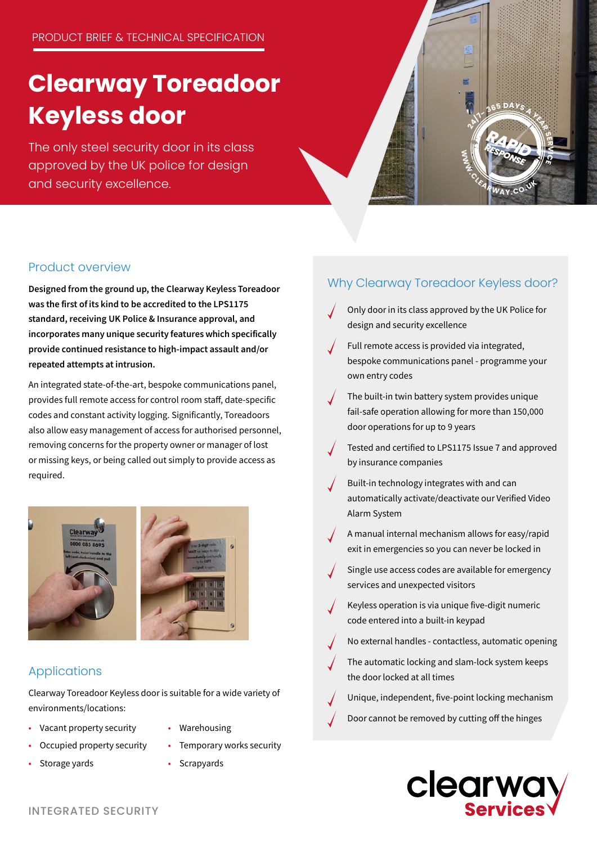# **Clearway Toreadoor Keyless door**

The only steel security door in its class approved by the UK police for design and security excellence.



#### Product overview

Designed from the ground up, the Clearway Keyless Toreadoor was the first of its kind to be accredited to the LPS1175 standard, receiving UK Police & Insurance approval, and incorporates many unique security features which specifically provide continued resistance to high-impact assault and/or repeated attempts at intrusion.

An integrated state-of-the-art, bespoke communications panel, provides full remote access for control room staff, date-specific codes and constant activity logging. Significantly, Toreadoors also allow easy management of access for authorised personnel, removing concerns for the property owner or manager of lost or missing keys, or being called out simply to provide access as required.



#### Applications

Clearway Toreadoor Keyless door is suitable for a wide variety of environments/locations:

- Vacant property security
- Occupied property security
- Storage yards
- Warehousing
- - Temporary works security
	- Scrapyards

#### Why Clearway Toreadoor Keyless door?

- Only door in its class approved by the UK Police for design and security excellence
- Full remote access is provided via integrated, bespoke communications panel - programme your own entry codes
- The built-in twin battery system provides unique fail-safe operation allowing for more than 150,000 door operations for up to 9 years
- Tested and certified to LPS1175 Issue 7 and approved by insurance companies
- Built-in technology integrates with and can automatically activate/deactivate our Verified Video Alarm System
- A manual internal mechanism allows for easy/rapid exit in emergencies so you can never be locked in
- Single use access codes are available for emergency services and unexpected visitors
- Keyless operation is via unique five-digit numeric code entered into a built-in keypad
- No external handles contactless, automatic opening
	- The automatic locking and slam-lock system keeps the door locked at all times
- Unique, independent, five-point locking mechanism
- Door cannot be removed by cutting off the hinges



INTEGRATED SECURITY